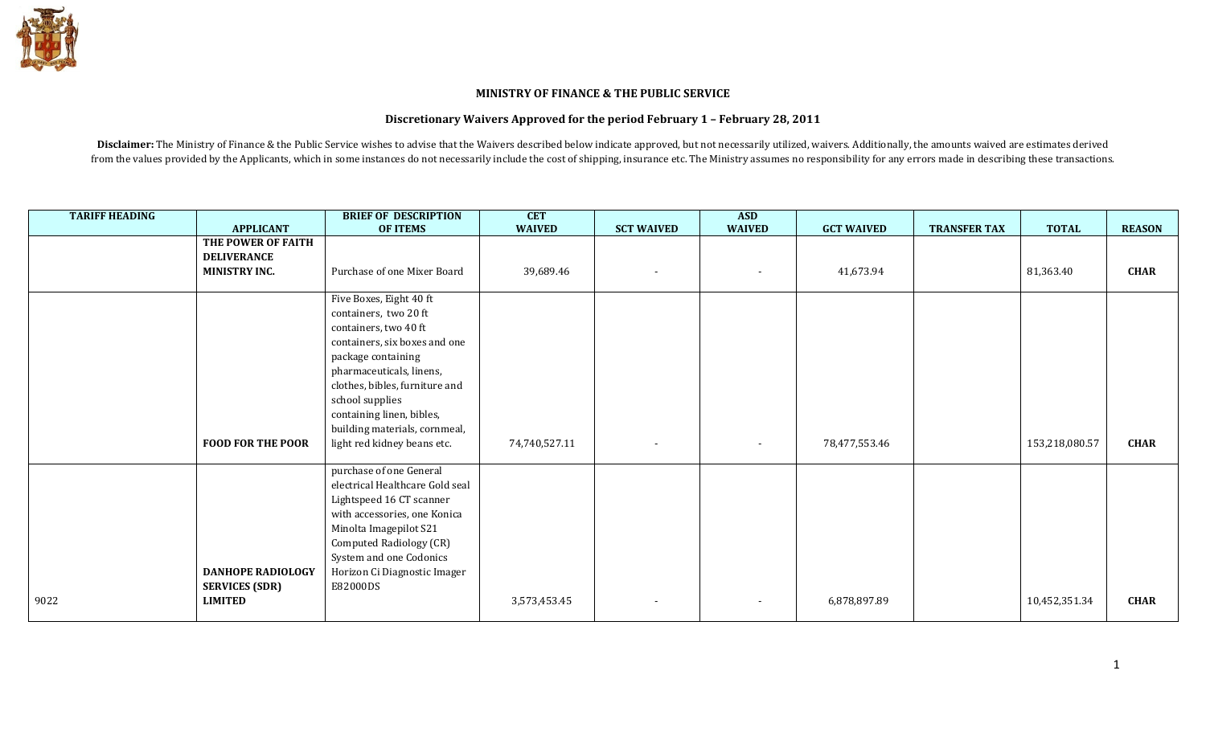

## MINISTRY OF FINANCE & THE PUBLIC SERVICE

## Discretionary Waivers Approved for the period February 1 – February 28, 2011

Disclaimer: The Ministry of Finance & the Public Service wishes to advise that the Waivers described below indicate approved, but not necessarily utilized, waivers. Additionally, the amounts waived are estimates derived from the values provided by the Applicants, which in some instances do not necessarily include the cost of shipping, insurance etc. The Ministry assumes no responsibility for any errors made in describing these transaction

| <b>TARIFF HEADING</b> |                          | <b>BRIEF OF DESCRIPTION</b>     | <b>CET</b>    |                   | <b>ASD</b>               |                   |                     |                |               |
|-----------------------|--------------------------|---------------------------------|---------------|-------------------|--------------------------|-------------------|---------------------|----------------|---------------|
|                       | <b>APPLICANT</b>         | <b>OF ITEMS</b>                 | <b>WAIVED</b> | <b>SCT WAIVED</b> | <b>WAIVED</b>            | <b>GCT WAIVED</b> | <b>TRANSFER TAX</b> | <b>TOTAL</b>   | <b>REASON</b> |
|                       | THE POWER OF FAITH       |                                 |               |                   |                          |                   |                     |                |               |
|                       | <b>DELIVERANCE</b>       |                                 |               |                   |                          |                   |                     |                |               |
|                       | <b>MINISTRY INC.</b>     | Purchase of one Mixer Board     | 39,689.46     |                   | $\overline{\phantom{a}}$ | 41,673.94         |                     | 81,363.40      | <b>CHAR</b>   |
|                       |                          |                                 |               |                   |                          |                   |                     |                |               |
|                       |                          | Five Boxes, Eight 40 ft         |               |                   |                          |                   |                     |                |               |
|                       |                          | containers, two 20 ft           |               |                   |                          |                   |                     |                |               |
|                       |                          | containers, two 40 ft           |               |                   |                          |                   |                     |                |               |
|                       |                          | containers, six boxes and one   |               |                   |                          |                   |                     |                |               |
|                       |                          | package containing              |               |                   |                          |                   |                     |                |               |
|                       |                          | pharmaceuticals, linens,        |               |                   |                          |                   |                     |                |               |
|                       |                          | clothes, bibles, furniture and  |               |                   |                          |                   |                     |                |               |
|                       |                          | school supplies                 |               |                   |                          |                   |                     |                |               |
|                       |                          | containing linen, bibles,       |               |                   |                          |                   |                     |                |               |
|                       |                          | building materials, cornmeal,   |               |                   |                          |                   |                     |                |               |
|                       | <b>FOOD FOR THE POOR</b> | light red kidney beans etc.     | 74,740,527.11 |                   | $\sim$                   | 78,477,553.46     |                     | 153,218,080.57 | <b>CHAR</b>   |
|                       |                          |                                 |               |                   |                          |                   |                     |                |               |
|                       |                          | purchase of one General         |               |                   |                          |                   |                     |                |               |
|                       |                          | electrical Healthcare Gold seal |               |                   |                          |                   |                     |                |               |
|                       |                          | Lightspeed 16 CT scanner        |               |                   |                          |                   |                     |                |               |
|                       |                          | with accessories, one Konica    |               |                   |                          |                   |                     |                |               |
|                       |                          | Minolta Imagepilot S21          |               |                   |                          |                   |                     |                |               |
|                       |                          | Computed Radiology (CR)         |               |                   |                          |                   |                     |                |               |
|                       |                          | System and one Codonics         |               |                   |                          |                   |                     |                |               |
|                       | DANHOPE RADIOLOGY        | Horizon Ci Diagnostic Imager    |               |                   |                          |                   |                     |                |               |
|                       | <b>SERVICES (SDR)</b>    | E82000DS                        |               |                   |                          |                   |                     |                |               |
| 9022                  | <b>LIMITED</b>           |                                 | 3,573,453.45  |                   | $\blacksquare$           | 6,878,897.89      |                     | 10,452,351.34  | <b>CHAR</b>   |
|                       |                          |                                 |               |                   |                          |                   |                     |                |               |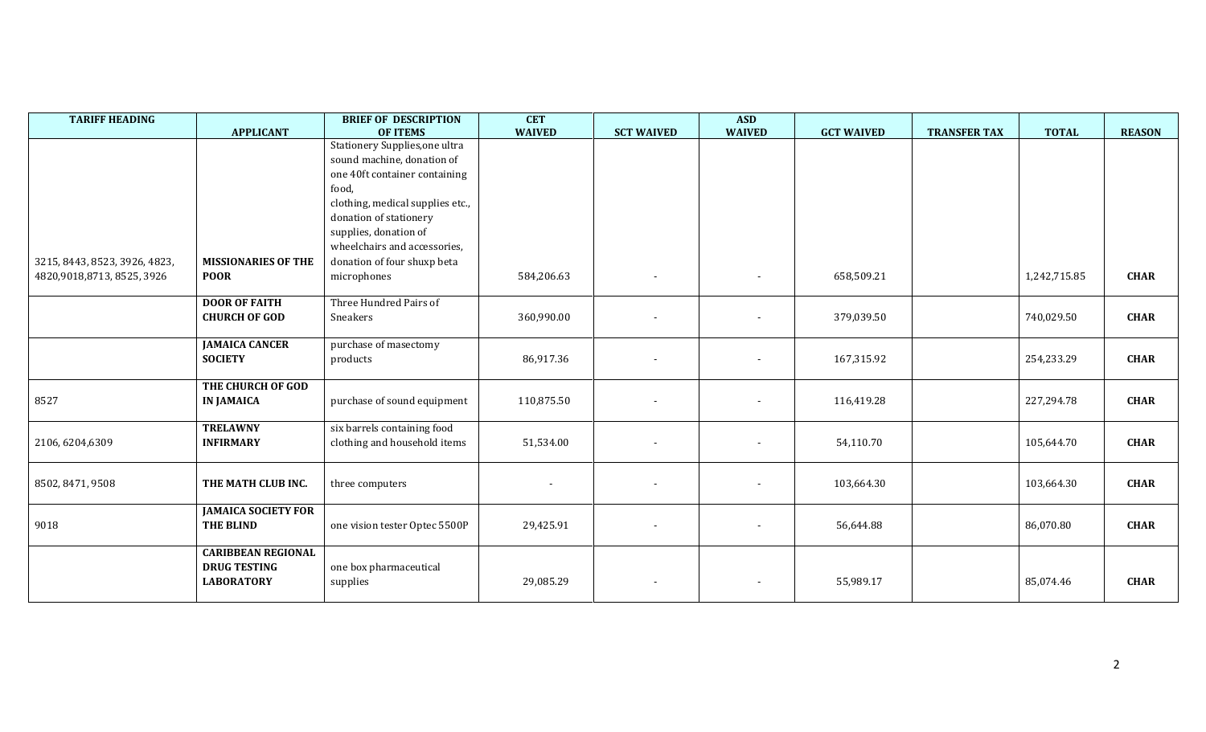| <b>TARIFF HEADING</b>         | <b>APPLICANT</b>           | <b>BRIEF OF DESCRIPTION</b><br><b>OF ITEMS</b> | <b>CET</b><br><b>WAIVED</b> | <b>SCT WAIVED</b>        | <b>ASD</b><br><b>WAIVED</b> | <b>GCT WAIVED</b> | <b>TRANSFER TAX</b> | <b>TOTAL</b> | <b>REASON</b> |
|-------------------------------|----------------------------|------------------------------------------------|-----------------------------|--------------------------|-----------------------------|-------------------|---------------------|--------------|---------------|
|                               |                            | Stationery Supplies, one ultra                 |                             |                          |                             |                   |                     |              |               |
|                               |                            | sound machine, donation of                     |                             |                          |                             |                   |                     |              |               |
|                               |                            | one 40ft container containing                  |                             |                          |                             |                   |                     |              |               |
|                               |                            | food,                                          |                             |                          |                             |                   |                     |              |               |
|                               |                            | clothing, medical supplies etc.,               |                             |                          |                             |                   |                     |              |               |
|                               |                            | donation of stationery                         |                             |                          |                             |                   |                     |              |               |
|                               |                            | supplies, donation of                          |                             |                          |                             |                   |                     |              |               |
|                               |                            | wheelchairs and accessories,                   |                             |                          |                             |                   |                     |              |               |
| 3215, 8443, 8523, 3926, 4823, | <b>MISSIONARIES OF THE</b> | donation of four shuxp beta                    |                             |                          |                             |                   |                     |              |               |
| 4820,9018,8713, 8525, 3926    | <b>POOR</b>                | microphones                                    | 584,206.63                  |                          |                             | 658,509.21        |                     | 1,242,715.85 | <b>CHAR</b>   |
|                               |                            |                                                |                             |                          |                             |                   |                     |              |               |
|                               | <b>DOOR OF FAITH</b>       | Three Hundred Pairs of                         |                             |                          |                             |                   |                     |              |               |
|                               | <b>CHURCH OF GOD</b>       | Sneakers                                       | 360,990.00                  |                          |                             | 379,039.50        |                     | 740,029.50   | <b>CHAR</b>   |
|                               |                            |                                                |                             |                          |                             |                   |                     |              |               |
|                               | <b>JAMAICA CANCER</b>      | purchase of masectomy                          |                             |                          |                             |                   |                     |              |               |
|                               | <b>SOCIETY</b>             | products                                       | 86,917.36                   |                          |                             | 167,315.92        |                     | 254,233.29   | <b>CHAR</b>   |
|                               |                            |                                                |                             |                          |                             |                   |                     |              |               |
|                               | THE CHURCH OF GOD          |                                                |                             |                          |                             |                   |                     |              |               |
| 8527                          | <b>IN JAMAICA</b>          | purchase of sound equipment                    | 110,875.50                  |                          |                             | 116,419.28        |                     | 227,294.78   | <b>CHAR</b>   |
|                               | <b>TRELAWNY</b>            | six barrels containing food                    |                             |                          |                             |                   |                     |              |               |
| 2106, 6204, 6309              | <b>INFIRMARY</b>           | clothing and household items                   | 51,534.00                   |                          | $\sim$                      | 54,110.70         |                     | 105,644.70   | <b>CHAR</b>   |
|                               |                            |                                                |                             |                          |                             |                   |                     |              |               |
|                               |                            |                                                |                             |                          |                             |                   |                     |              |               |
| 8502, 8471, 9508              | THE MATH CLUB INC.         | three computers                                |                             |                          |                             | 103,664.30        |                     | 103,664.30   | <b>CHAR</b>   |
|                               |                            |                                                |                             |                          |                             |                   |                     |              |               |
|                               | <b>JAMAICA SOCIETY FOR</b> |                                                |                             |                          |                             |                   |                     |              |               |
| 9018                          | <b>THE BLIND</b>           | one vision tester Optec 5500P                  | 29,425.91                   | $\overline{\phantom{a}}$ | $\sim$                      | 56,644.88         |                     | 86,070.80    | <b>CHAR</b>   |
|                               |                            |                                                |                             |                          |                             |                   |                     |              |               |
|                               | <b>CARIBBEAN REGIONAL</b>  |                                                |                             |                          |                             |                   |                     |              |               |
|                               | <b>DRUG TESTING</b>        | one box pharmaceutical                         |                             |                          |                             |                   |                     |              |               |
|                               | <b>LABORATORY</b>          | supplies                                       | 29,085.29                   |                          |                             | 55,989.17         |                     | 85,074.46    | <b>CHAR</b>   |
|                               |                            |                                                |                             |                          |                             |                   |                     |              |               |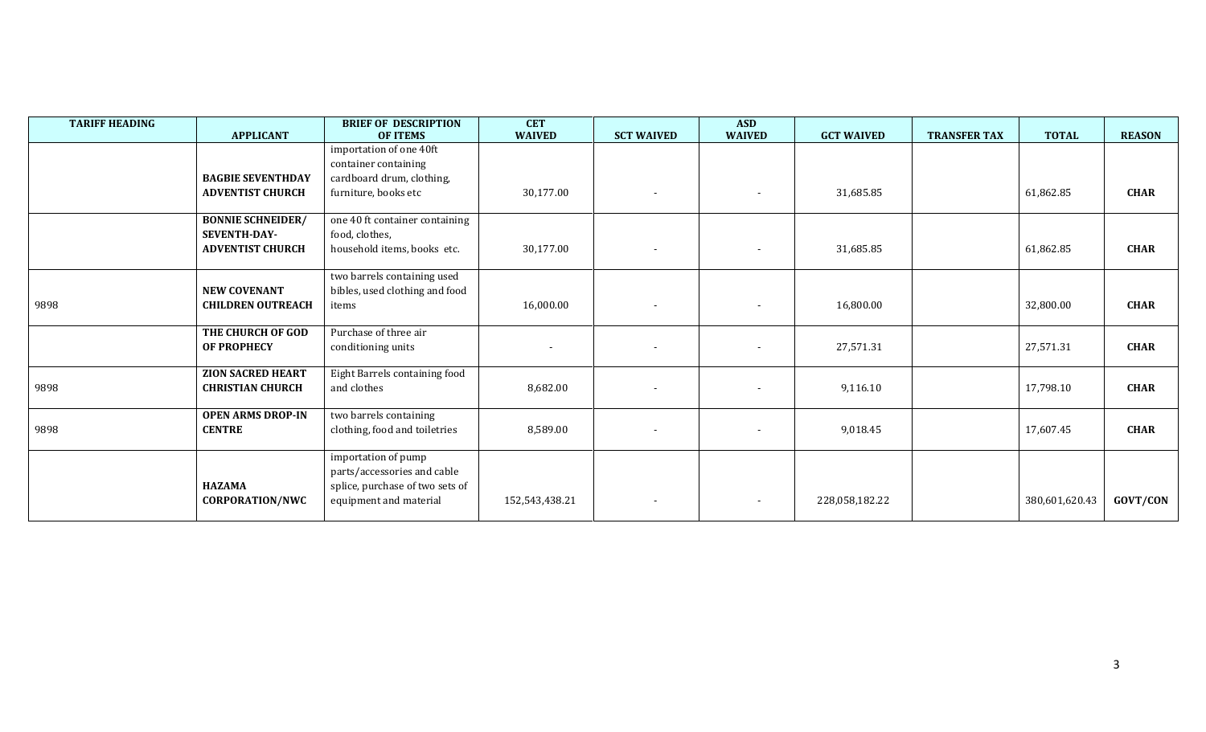| <b>TARIFF HEADING</b> | <b>APPLICANT</b>                                                           | <b>BRIEF OF DESCRIPTION</b><br><b>OF ITEMS</b>                                                                  | <b>CET</b><br><b>WAIVED</b> | <b>SCT WAIVED</b>        | <b>ASD</b><br><b>WAIVED</b> | <b>GCT WAIVED</b> | <b>TRANSFER TAX</b> | <b>TOTAL</b>   | <b>REASON</b> |
|-----------------------|----------------------------------------------------------------------------|-----------------------------------------------------------------------------------------------------------------|-----------------------------|--------------------------|-----------------------------|-------------------|---------------------|----------------|---------------|
|                       | <b>BAGBIE SEVENTHDAY</b>                                                   | importation of one 40ft<br>container containing<br>cardboard drum, clothing,                                    |                             |                          |                             |                   |                     |                |               |
|                       | <b>ADVENTIST CHURCH</b>                                                    | furniture, books etc                                                                                            | 30,177.00                   | $\overline{\phantom{a}}$ | $\sim$                      | 31,685.85         |                     | 61,862.85      | <b>CHAR</b>   |
|                       | <b>BONNIE SCHNEIDER/</b><br><b>SEVENTH-DAY-</b><br><b>ADVENTIST CHURCH</b> | one 40 ft container containing<br>food, clothes,<br>household items, books etc.                                 | 30,177.00                   |                          |                             | 31,685.85         |                     | 61,862.85      | <b>CHAR</b>   |
| 9898                  | <b>NEW COVENANT</b><br><b>CHILDREN OUTREACH</b>                            | two barrels containing used<br>bibles, used clothing and food<br>items                                          | 16,000.00                   |                          | $\sim$                      | 16,800.00         |                     | 32,800.00      | <b>CHAR</b>   |
|                       | THE CHURCH OF GOD<br><b>OF PROPHECY</b>                                    | Purchase of three air<br>conditioning units                                                                     |                             |                          |                             | 27,571.31         |                     | 27,571.31      | <b>CHAR</b>   |
| 9898                  | <b>ZION SACRED HEART</b><br><b>CHRISTIAN CHURCH</b>                        | Eight Barrels containing food<br>and clothes                                                                    | 8,682.00                    |                          |                             | 9,116.10          |                     | 17,798.10      | <b>CHAR</b>   |
| 9898                  | <b>OPEN ARMS DROP-IN</b><br><b>CENTRE</b>                                  | two barrels containing<br>clothing, food and toiletries                                                         | 8,589.00                    |                          |                             | 9,018.45          |                     | 17,607.45      | <b>CHAR</b>   |
|                       | <b>HAZAMA</b><br><b>CORPORATION/NWC</b>                                    | importation of pump<br>parts/accessories and cable<br>splice, purchase of two sets of<br>equipment and material | 152,543,438.21              |                          | $\overline{\phantom{a}}$    | 228,058,182.22    |                     | 380,601,620.43 | GOVT/CON      |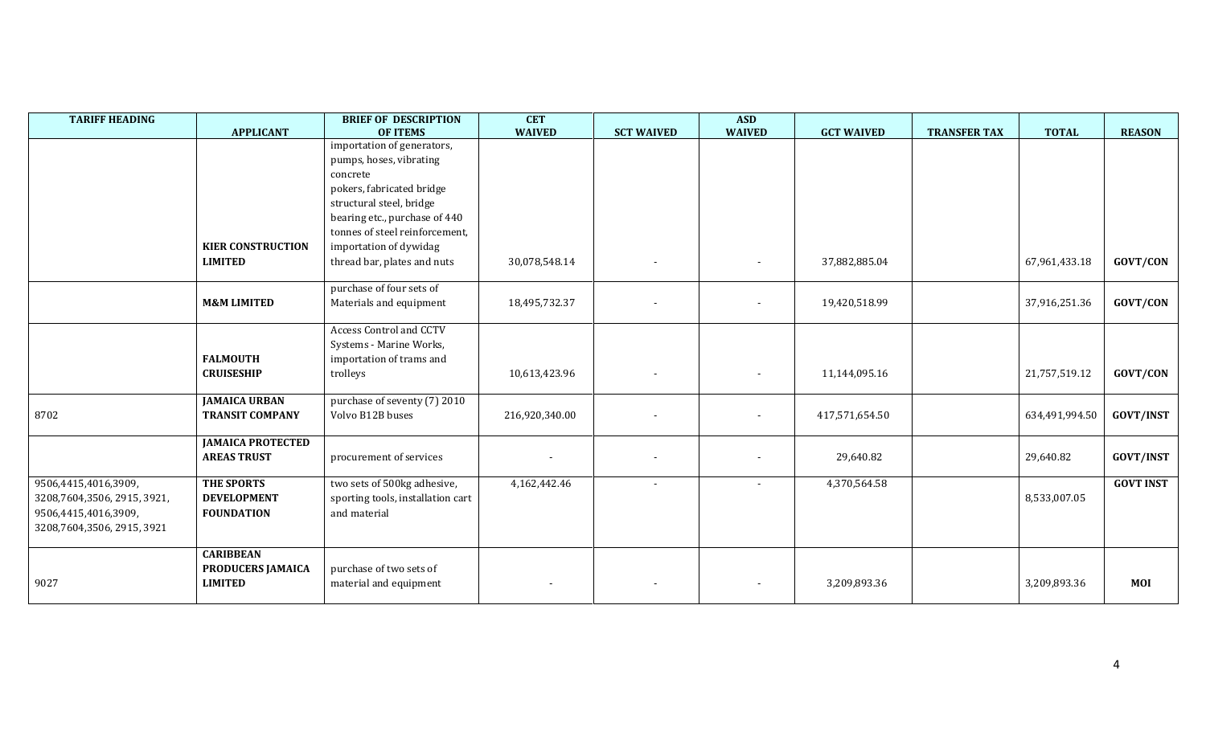| <b>TARIFF HEADING</b>       | <b>APPLICANT</b>         | <b>BRIEF OF DESCRIPTION</b><br><b>OF ITEMS</b> | <b>CET</b><br><b>WAIVED</b> | <b>SCT WAIVED</b> | <b>ASD</b><br><b>WAIVED</b> | <b>GCT WAIVED</b> | <b>TRANSFER TAX</b> | <b>TOTAL</b>   | <b>REASON</b>    |
|-----------------------------|--------------------------|------------------------------------------------|-----------------------------|-------------------|-----------------------------|-------------------|---------------------|----------------|------------------|
|                             |                          | importation of generators,                     |                             |                   |                             |                   |                     |                |                  |
|                             |                          | pumps, hoses, vibrating                        |                             |                   |                             |                   |                     |                |                  |
|                             |                          | concrete                                       |                             |                   |                             |                   |                     |                |                  |
|                             |                          | pokers, fabricated bridge                      |                             |                   |                             |                   |                     |                |                  |
|                             |                          | structural steel, bridge                       |                             |                   |                             |                   |                     |                |                  |
|                             |                          | bearing etc., purchase of 440                  |                             |                   |                             |                   |                     |                |                  |
|                             |                          | tonnes of steel reinforcement,                 |                             |                   |                             |                   |                     |                |                  |
|                             | <b>KIER CONSTRUCTION</b> | importation of dywidag                         |                             |                   |                             |                   |                     |                |                  |
|                             | <b>LIMITED</b>           | thread bar, plates and nuts                    | 30,078,548.14               |                   | $\overline{\phantom{a}}$    | 37,882,885.04     |                     | 67,961,433.18  | GOVT/CON         |
|                             |                          |                                                |                             |                   |                             |                   |                     |                |                  |
|                             |                          | purchase of four sets of                       |                             |                   |                             |                   |                     |                |                  |
|                             | <b>M&amp;M LIMITED</b>   | Materials and equipment                        | 18,495,732.37               |                   | $\overline{\phantom{a}}$    | 19,420,518.99     |                     | 37,916,251.36  | GOVT/CON         |
|                             |                          |                                                |                             |                   |                             |                   |                     |                |                  |
|                             |                          | <b>Access Control and CCTV</b>                 |                             |                   |                             |                   |                     |                |                  |
|                             |                          | Systems - Marine Works,                        |                             |                   |                             |                   |                     |                |                  |
|                             | <b>FALMOUTH</b>          | importation of trams and                       |                             |                   |                             |                   |                     |                |                  |
|                             | <b>CRUISESHIP</b>        | trolleys                                       | 10,613,423.96               |                   | $\overline{\phantom{a}}$    | 11,144,095.16     |                     | 21,757,519.12  | GOVT/CON         |
|                             | <b>JAMAICA URBAN</b>     | purchase of seventy (7) 2010                   |                             |                   |                             |                   |                     |                |                  |
| 8702                        | <b>TRANSIT COMPANY</b>   | Volvo B12B buses                               | 216,920,340.00              |                   |                             | 417,571,654.50    |                     | 634,491,994.50 | <b>GOVT/INST</b> |
|                             |                          |                                                |                             |                   |                             |                   |                     |                |                  |
|                             | <b>JAMAICA PROTECTED</b> |                                                |                             |                   |                             |                   |                     |                |                  |
|                             | <b>AREAS TRUST</b>       | procurement of services                        |                             |                   |                             | 29,640.82         |                     | 29,640.82      | <b>GOVT/INST</b> |
|                             |                          |                                                |                             |                   |                             |                   |                     |                |                  |
| 9506,4415,4016,3909,        | THE SPORTS               | two sets of 500kg adhesive,                    | 4,162,442.46                |                   |                             | 4,370,564.58      |                     |                | <b>GOVT INST</b> |
| 3208,7604,3506, 2915, 3921, | <b>DEVELOPMENT</b>       | sporting tools, installation cart              |                             |                   |                             |                   |                     | 8,533,007.05   |                  |
| 9506,4415,4016,3909,        | <b>FOUNDATION</b>        | and material                                   |                             |                   |                             |                   |                     |                |                  |
| 3208,7604,3506, 2915, 3921  |                          |                                                |                             |                   |                             |                   |                     |                |                  |
|                             | <b>CARIBBEAN</b>         |                                                |                             |                   |                             |                   |                     |                |                  |
|                             | PRODUCERS JAMAICA        | purchase of two sets of                        |                             |                   |                             |                   |                     |                |                  |
| 9027                        | <b>LIMITED</b>           | material and equipment                         |                             |                   | $\sim$                      | 3,209,893.36      |                     | 3,209,893.36   | <b>MOI</b>       |
|                             |                          |                                                |                             |                   |                             |                   |                     |                |                  |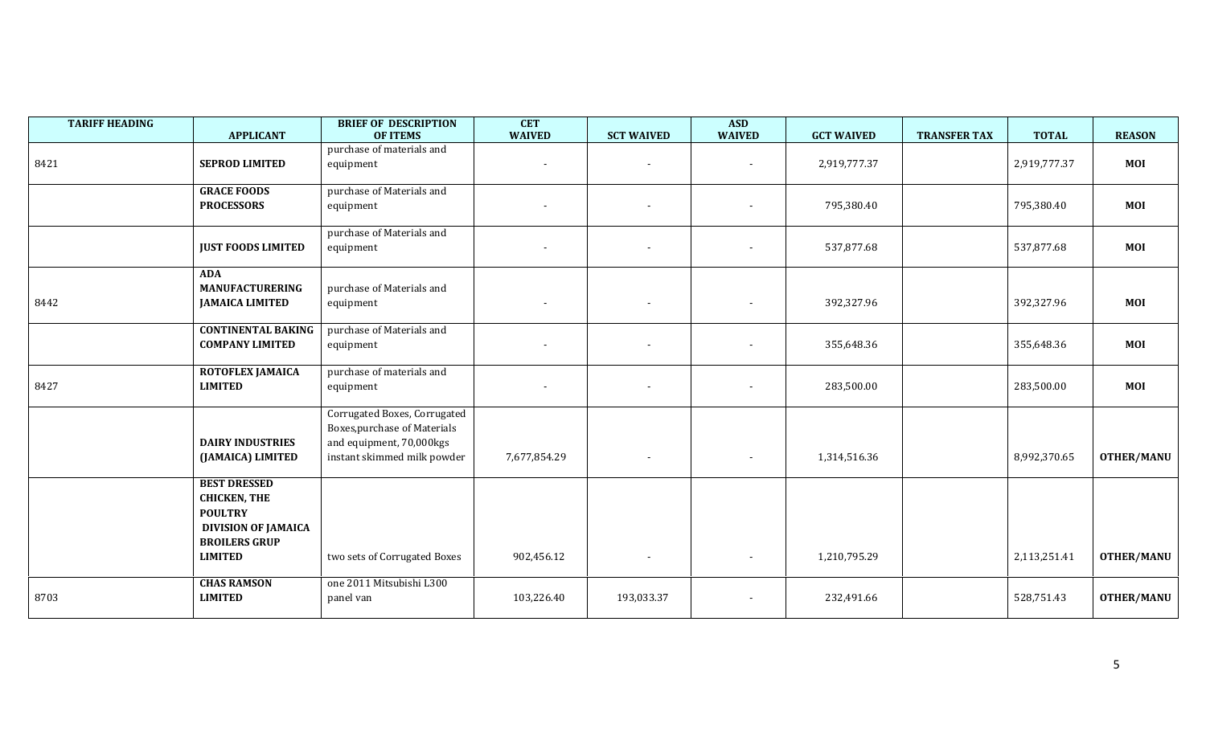| <b>TARIFF HEADING</b> | <b>APPLICANT</b>                                                                           | <b>BRIEF OF DESCRIPTION</b><br><b>OF ITEMS</b>                                                                                 | <b>CET</b><br><b>WAIVED</b> | <b>SCT WAIVED</b>        | <b>ASD</b><br><b>WAIVED</b> | <b>GCT WAIVED</b> | <b>TRANSFER TAX</b> | <b>TOTAL</b> | <b>REASON</b>     |
|-----------------------|--------------------------------------------------------------------------------------------|--------------------------------------------------------------------------------------------------------------------------------|-----------------------------|--------------------------|-----------------------------|-------------------|---------------------|--------------|-------------------|
| 8421                  | <b>SEPROD LIMITED</b>                                                                      | purchase of materials and<br>equipment                                                                                         |                             |                          | $\overline{\phantom{a}}$    | 2,919,777.37      |                     | 2,919,777.37 | <b>MOI</b>        |
|                       | <b>GRACE FOODS</b><br><b>PROCESSORS</b>                                                    | purchase of Materials and<br>equipment                                                                                         |                             |                          | $\blacksquare$              | 795,380.40        |                     | 795,380.40   | <b>MOI</b>        |
|                       | <b>JUST FOODS LIMITED</b>                                                                  | purchase of Materials and<br>equipment                                                                                         | $\overline{\phantom{a}}$    |                          | $\blacksquare$              | 537,877.68        |                     | 537,877.68   | <b>MOI</b>        |
| 8442                  | <b>ADA</b><br><b>MANUFACTURERING</b><br><b>JAMAICA LIMITED</b>                             | purchase of Materials and<br>equipment                                                                                         |                             |                          | $\blacksquare$              | 392,327.96        |                     | 392,327.96   | <b>MOI</b>        |
|                       | <b>CONTINENTAL BAKING</b><br><b>COMPANY LIMITED</b>                                        | purchase of Materials and<br>equipment                                                                                         |                             |                          | $\overline{\phantom{a}}$    | 355,648.36        |                     | 355,648.36   | <b>MOI</b>        |
| 8427                  | ROTOFLEX JAMAICA<br><b>LIMITED</b>                                                         | purchase of materials and<br>equipment                                                                                         |                             |                          | $\blacksquare$              | 283,500.00        |                     | 283,500.00   | MOI               |
|                       | <b>DAIRY INDUSTRIES</b><br>(JAMAICA) LIMITED                                               | Corrugated Boxes, Corrugated<br><b>Boxes, purchase of Materials</b><br>and equipment, 70,000kgs<br>instant skimmed milk powder | 7,677,854.29                | $\sim$                   | $\sim$                      | 1,314,516.36      |                     | 8,992,370.65 | <b>OTHER/MANU</b> |
|                       | <b>BEST DRESSED</b><br><b>CHICKEN, THE</b><br><b>POULTRY</b><br><b>DIVISION OF JAMAICA</b> |                                                                                                                                |                             |                          |                             |                   |                     |              |                   |
|                       | <b>BROILERS GRUP</b><br><b>LIMITED</b>                                                     | two sets of Corrugated Boxes                                                                                                   | 902,456.12                  | $\overline{\phantom{0}}$ | $\sim$                      | 1,210,795.29      |                     | 2,113,251.41 | <b>OTHER/MANU</b> |
| 8703                  | <b>CHAS RAMSON</b><br><b>LIMITED</b>                                                       | one 2011 Mitsubishi L300<br>panel van                                                                                          | 103,226.40                  | 193,033.37               | $\blacksquare$              | 232,491.66        |                     | 528,751.43   | <b>OTHER/MANU</b> |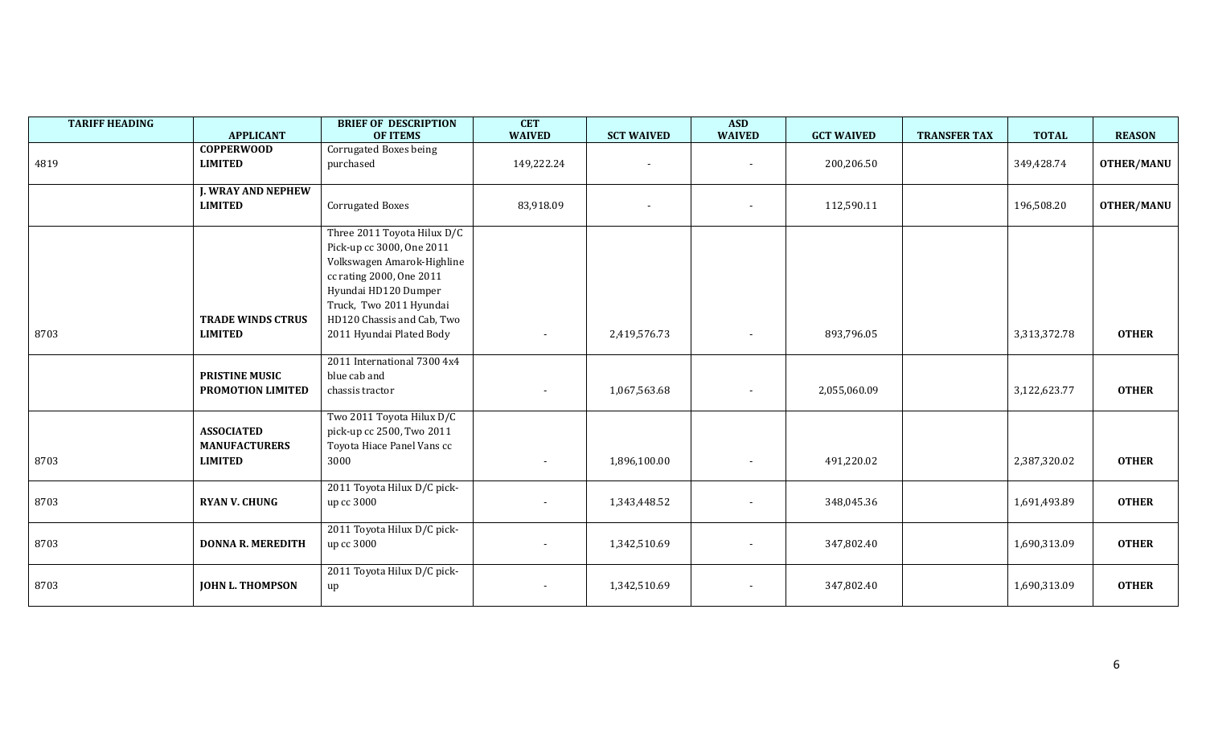| <b>TARIFF HEADING</b> | <b>APPLICANT</b>                                            | <b>BRIEF OF DESCRIPTION</b><br><b>OF ITEMS</b>                                                                                                                                                                                  | <b>CET</b><br><b>WAIVED</b> | <b>SCT WAIVED</b> | <b>ASD</b><br><b>WAIVED</b> | <b>GCT WAIVED</b> | <b>TRANSFER TAX</b> | <b>TOTAL</b> | <b>REASON</b>     |
|-----------------------|-------------------------------------------------------------|---------------------------------------------------------------------------------------------------------------------------------------------------------------------------------------------------------------------------------|-----------------------------|-------------------|-----------------------------|-------------------|---------------------|--------------|-------------------|
| 4819                  | <b>COPPERWOOD</b><br><b>LIMITED</b>                         | Corrugated Boxes being<br>purchased                                                                                                                                                                                             | 149,222.24                  |                   |                             | 200,206.50        |                     | 349,428.74   | <b>OTHER/MANU</b> |
|                       | <b>J. WRAY AND NEPHEW</b><br><b>LIMITED</b>                 | <b>Corrugated Boxes</b>                                                                                                                                                                                                         | 83,918.09                   | $\sim$            | $\overline{\phantom{a}}$    | 112,590.11        |                     | 196,508.20   | <b>OTHER/MANU</b> |
| 8703                  | <b>TRADE WINDS CTRUS</b><br><b>LIMITED</b>                  | Three 2011 Toyota Hilux D/C<br>Pick-up cc 3000, One 2011<br>Volkswagen Amarok-Highline<br>cc rating 2000, One 2011<br>Hyundai HD120 Dumper<br>Truck, Two 2011 Hyundai<br>HD120 Chassis and Cab, Two<br>2011 Hyundai Plated Body |                             | 2,419,576.73      |                             | 893,796.05        |                     | 3,313,372.78 | <b>OTHER</b>      |
|                       | <b>PRISTINE MUSIC</b><br>PROMOTION LIMITED                  | 2011 International 7300 4x4<br>blue cab and<br>chassis tractor                                                                                                                                                                  |                             | 1,067,563.68      |                             | 2,055,060.09      |                     | 3,122,623.77 | <b>OTHER</b>      |
| 8703                  | <b>ASSOCIATED</b><br><b>MANUFACTURERS</b><br><b>LIMITED</b> | Two 2011 Toyota Hilux D/C<br>pick-up cc 2500, Two 2011<br>Toyota Hiace Panel Vans cc<br>3000                                                                                                                                    |                             | 1,896,100.00      |                             | 491,220.02        |                     | 2,387,320.02 | <b>OTHER</b>      |
| 8703                  | <b>RYAN V. CHUNG</b>                                        | 2011 Toyota Hilux D/C pick-<br>up cc 3000                                                                                                                                                                                       | $\sim$                      | 1,343,448.52      | $\blacksquare$              | 348,045.36        |                     | 1,691,493.89 | <b>OTHER</b>      |
| 8703                  | <b>DONNA R. MEREDITH</b>                                    | 2011 Toyota Hilux D/C pick-<br>up cc 3000                                                                                                                                                                                       | $\sim$                      | 1,342,510.69      | $\sim$                      | 347,802.40        |                     | 1,690,313.09 | <b>OTHER</b>      |
| 8703                  | <b>JOHN L. THOMPSON</b>                                     | 2011 Toyota Hilux D/C pick-<br>up                                                                                                                                                                                               |                             | 1,342,510.69      |                             | 347,802.40        |                     | 1,690,313.09 | <b>OTHER</b>      |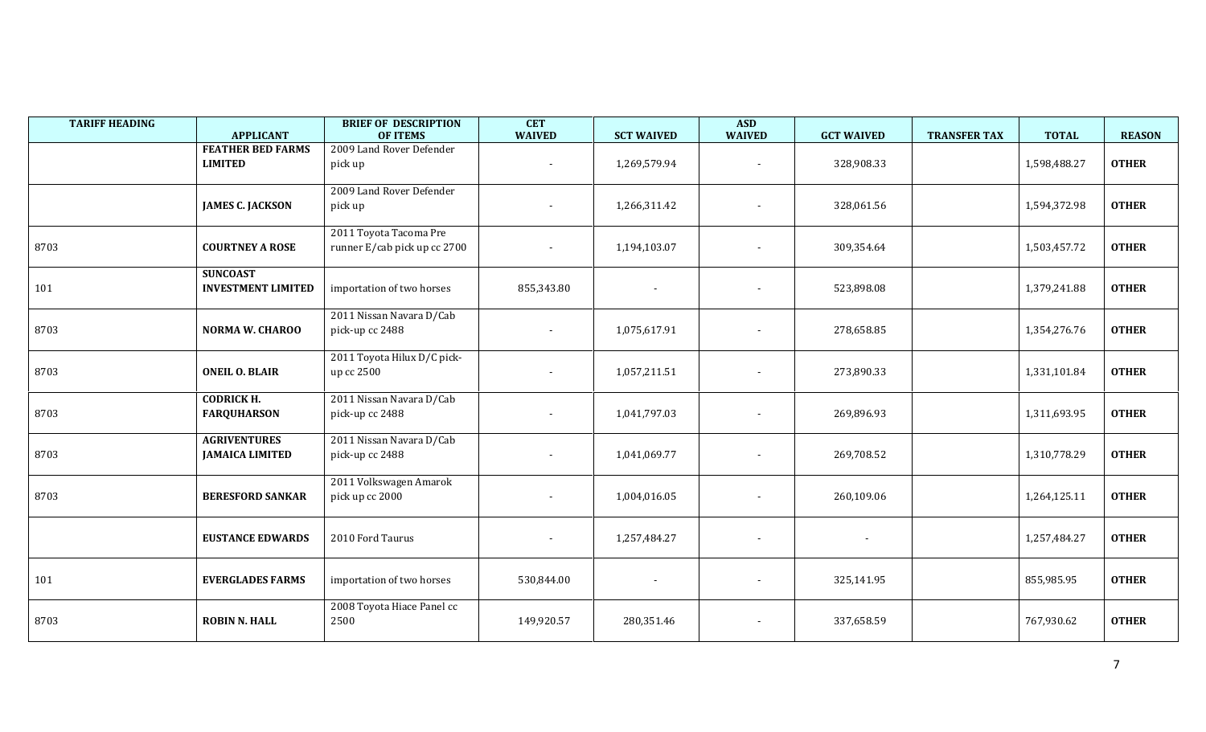| <b>TARIFF HEADING</b> | <b>APPLICANT</b>                              | <b>BRIEF OF DESCRIPTION</b><br><b>OF ITEMS</b>         | <b>CET</b><br><b>WAIVED</b> | <b>SCT WAIVED</b> | <b>ASD</b><br><b>WAIVED</b> | <b>GCT WAIVED</b> | <b>TRANSFER TAX</b><br><b>TOTAL</b> | <b>REASON</b> |
|-----------------------|-----------------------------------------------|--------------------------------------------------------|-----------------------------|-------------------|-----------------------------|-------------------|-------------------------------------|---------------|
|                       | <b>FEATHER BED FARMS</b><br><b>LIMITED</b>    | 2009 Land Rover Defender<br>pick up                    |                             | 1,269,579.94      |                             | 328,908.33        | 1,598,488.27                        | <b>OTHER</b>  |
|                       | <b>JAMES C. JACKSON</b>                       | 2009 Land Rover Defender<br>pick up                    |                             | 1,266,311.42      | ÷                           | 328,061.56        | 1,594,372.98                        | <b>OTHER</b>  |
| 8703                  | <b>COURTNEY A ROSE</b>                        | 2011 Toyota Tacoma Pre<br>runner E/cab pick up cc 2700 |                             | 1,194,103.07      | $\overline{\phantom{a}}$    | 309,354.64        | 1,503,457.72                        | <b>OTHER</b>  |
| 101                   | <b>SUNCOAST</b><br><b>INVESTMENT LIMITED</b>  | importation of two horses                              | 855,343.80                  |                   | $\blacksquare$              | 523,898.08        | 1,379,241.88                        | <b>OTHER</b>  |
| 8703                  | <b>NORMA W. CHAROO</b>                        | 2011 Nissan Navara D/Cab<br>pick-up cc 2488            |                             | 1,075,617.91      | ÷                           | 278,658.85        | 1,354,276.76                        | <b>OTHER</b>  |
| 8703                  | <b>ONEIL O. BLAIR</b>                         | 2011 Toyota Hilux D/C pick-<br>up cc 2500              |                             | 1,057,211.51      | $\overline{a}$              | 273,890.33        | 1,331,101.84                        | <b>OTHER</b>  |
| 8703                  | <b>CODRICK H.</b><br><b>FARQUHARSON</b>       | 2011 Nissan Navara D/Cab<br>pick-up cc 2488            |                             | 1,041,797.03      | $\blacksquare$              | 269,896.93        | 1,311,693.95                        | <b>OTHER</b>  |
| 8703                  | <b>AGRIVENTURES</b><br><b>JAMAICA LIMITED</b> | 2011 Nissan Navara D/Cab<br>pick-up cc 2488            |                             | 1,041,069.77      | ÷                           | 269,708.52        | 1,310,778.29                        | <b>OTHER</b>  |
| 8703                  | <b>BERESFORD SANKAR</b>                       | 2011 Volkswagen Amarok<br>pick up cc 2000              |                             | 1,004,016.05      | ÷                           | 260,109.06        | 1,264,125.11                        | <b>OTHER</b>  |
|                       | <b>EUSTANCE EDWARDS</b>                       | 2010 Ford Taurus                                       |                             | 1,257,484.27      | $\overline{a}$              |                   | 1,257,484.27                        | <b>OTHER</b>  |
| 101                   | <b>EVERGLADES FARMS</b>                       | importation of two horses                              | 530,844.00                  |                   |                             | 325,141.95        | 855,985.95                          | <b>OTHER</b>  |
| 8703                  | <b>ROBIN N. HALL</b>                          | 2008 Toyota Hiace Panel cc<br>2500                     | 149,920.57                  | 280,351.46        | $\overline{a}$              | 337,658.59        | 767,930.62                          | <b>OTHER</b>  |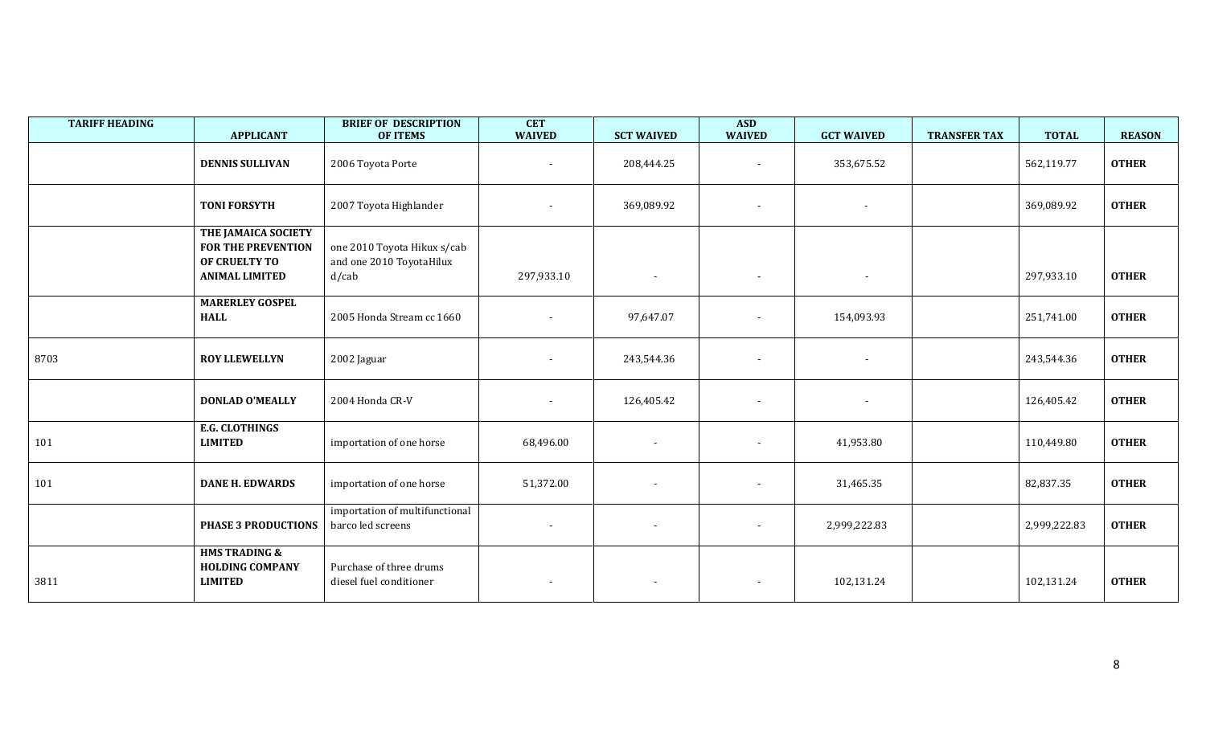| <b>TARIFF HEADING</b> | <b>APPLICANT</b>                                                                           | <b>BRIEF OF DESCRIPTION</b><br><b>OF ITEMS</b>                      | <b>CET</b><br><b>WAIVED</b> | <b>SCT WAIVED</b> | <b>ASD</b><br><b>WAIVED</b> | <b>GCT WAIVED</b>        | <b>TRANSFER TAX</b> | <b>TOTAL</b> | <b>REASON</b> |
|-----------------------|--------------------------------------------------------------------------------------------|---------------------------------------------------------------------|-----------------------------|-------------------|-----------------------------|--------------------------|---------------------|--------------|---------------|
|                       | <b>DENNIS SULLIVAN</b>                                                                     | 2006 Toyota Porte                                                   | $\overline{\phantom{a}}$    | 208,444.25        | $\blacksquare$              | 353,675.52               |                     | 562,119.77   | <b>OTHER</b>  |
|                       | <b>TONI FORSYTH</b>                                                                        | 2007 Toyota Highlander                                              |                             | 369,089.92        | $\sim$                      | $\sim$                   |                     | 369,089.92   | <b>OTHER</b>  |
|                       | THE JAMAICA SOCIETY<br><b>FOR THE PREVENTION</b><br>OF CRUELTY TO<br><b>ANIMAL LIMITED</b> | one 2010 Toyota Hikux s/cab<br>and one 2010 ToyotaHilux<br>$d$ /cab | 297,933.10                  |                   | $\overline{\phantom{a}}$    |                          |                     | 297,933.10   | <b>OTHER</b>  |
|                       | <b>MARERLEY GOSPEL</b><br><b>HALL</b>                                                      | 2005 Honda Stream cc 1660                                           |                             | 97,647.07         | $\sim$                      | 154,093.93               |                     | 251,741.00   | <b>OTHER</b>  |
| 8703                  | <b>ROY LLEWELLYN</b>                                                                       | 2002 Jaguar                                                         | $\overline{a}$              | 243,544.36        | $\overline{\phantom{a}}$    | $\overline{\phantom{a}}$ |                     | 243,544.36   | <b>OTHER</b>  |
|                       | <b>DONLAD O'MEALLY</b>                                                                     | 2004 Honda CR-V                                                     |                             | 126,405.42        | $\overline{\phantom{a}}$    | $\overline{\phantom{a}}$ |                     | 126,405.42   | <b>OTHER</b>  |
| 101                   | <b>E.G. CLOTHINGS</b><br><b>LIMITED</b>                                                    | importation of one horse                                            | 68,496.00                   | $\sim$            | $\overline{\phantom{a}}$    | 41,953.80                |                     | 110,449.80   | <b>OTHER</b>  |
| 101                   | <b>DANE H. EDWARDS</b>                                                                     | importation of one horse                                            | 51,372.00                   | $\sim$            | $\blacksquare$              | 31,465.35                |                     | 82,837.35    | <b>OTHER</b>  |
|                       | <b>PHASE 3 PRODUCTIONS</b>                                                                 | importation of multifunctional<br>barco led screens                 | $\overline{\phantom{a}}$    | $\sim$            | $\sim$                      | 2,999,222.83             |                     | 2,999,222.83 | <b>OTHER</b>  |
| 3811                  | <b>HMS TRADING &amp;</b><br><b>HOLDING COMPANY</b><br><b>LIMITED</b>                       | Purchase of three drums<br>diesel fuel conditioner                  | $\overline{\phantom{a}}$    | $\sim$            | $\sim$                      | 102,131.24               |                     | 102,131.24   | <b>OTHER</b>  |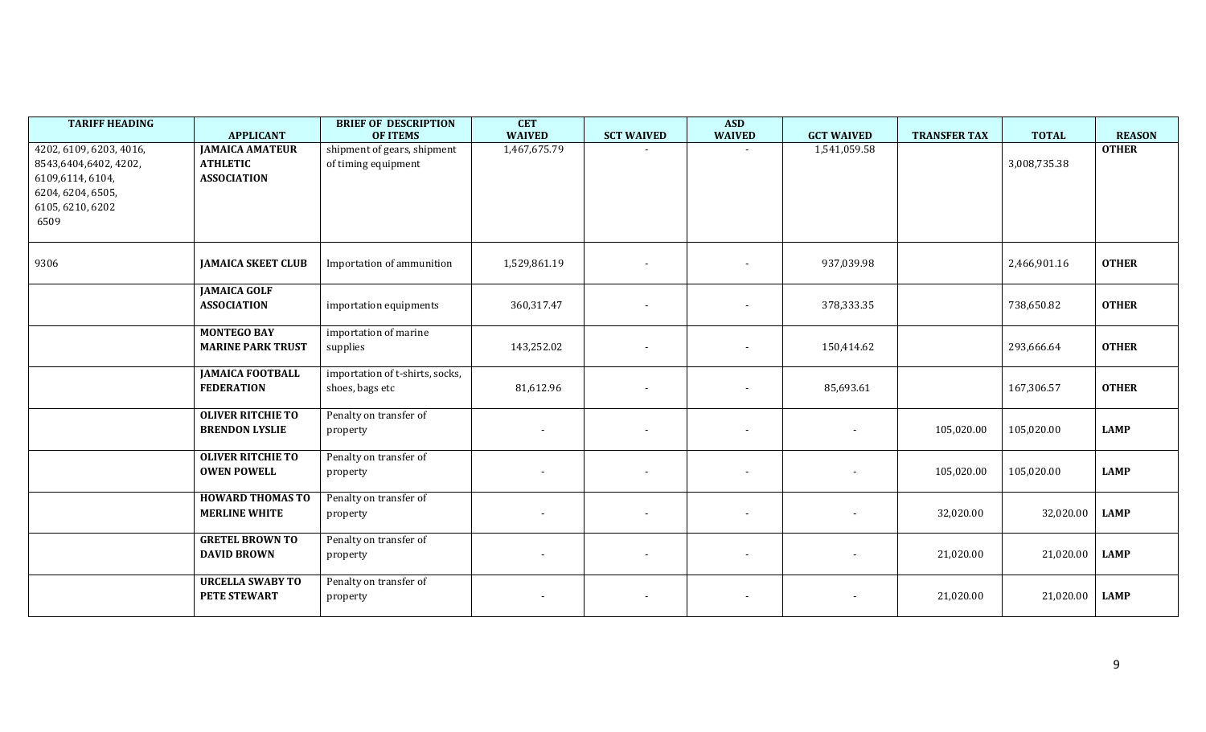| <b>TARIFF HEADING</b>                                                                                                | <b>APPLICANT</b>                                                | <b>BRIEF OF DESCRIPTION</b><br><b>OF ITEMS</b>     | <b>CET</b><br><b>WAIVED</b> | <b>SCT WAIVED</b>        | <b>ASD</b><br><b>WAIVED</b> | <b>GCT WAIVED</b>        | <b>TRANSFER TAX</b> | <b>TOTAL</b> | <b>REASON</b> |
|----------------------------------------------------------------------------------------------------------------------|-----------------------------------------------------------------|----------------------------------------------------|-----------------------------|--------------------------|-----------------------------|--------------------------|---------------------|--------------|---------------|
| 4202, 6109, 6203, 4016,<br>8543,6404,6402, 4202,<br>6109,6114,6104,<br>6204, 6204, 6505,<br>6105, 6210, 6202<br>6509 | <b>JAMAICA AMATEUR</b><br><b>ATHLETIC</b><br><b>ASSOCIATION</b> | shipment of gears, shipment<br>of timing equipment | 1,467,675.79                |                          |                             | 1,541,059.58             |                     | 3,008,735.38 | <b>OTHER</b>  |
| 9306                                                                                                                 | <b>JAMAICA SKEET CLUB</b>                                       | Importation of ammunition                          | 1,529,861.19                |                          | $\sim$                      | 937,039.98               |                     | 2,466,901.16 | <b>OTHER</b>  |
|                                                                                                                      | <b>JAMAICA GOLF</b><br><b>ASSOCIATION</b>                       | importation equipments                             | 360,317.47                  |                          | $\overline{\phantom{a}}$    | 378,333.35               |                     | 738,650.82   | <b>OTHER</b>  |
|                                                                                                                      | <b>MONTEGO BAY</b><br><b>MARINE PARK TRUST</b>                  | importation of marine<br>supplies                  | 143,252.02                  |                          | $\overline{\phantom{a}}$    | 150,414.62               |                     | 293,666.64   | <b>OTHER</b>  |
|                                                                                                                      | <b>JAMAICA FOOTBALL</b><br><b>FEDERATION</b>                    | importation of t-shirts, socks,<br>shoes, bags etc | 81,612.96                   |                          | $\overline{\phantom{a}}$    | 85,693.61                |                     | 167,306.57   | <b>OTHER</b>  |
|                                                                                                                      | <b>OLIVER RITCHIE TO</b><br><b>BRENDON LYSLIE</b>               | Penalty on transfer of<br>property                 |                             | $\overline{\phantom{a}}$ | $\overline{\phantom{a}}$    | $\overline{\phantom{a}}$ | 105,020.00          | 105,020.00   | <b>LAMP</b>   |
|                                                                                                                      | <b>OLIVER RITCHIE TO</b><br><b>OWEN POWELL</b>                  | Penalty on transfer of<br>property                 |                             |                          | $\overline{\phantom{a}}$    |                          | 105,020.00          | 105,020.00   | <b>LAMP</b>   |
|                                                                                                                      | <b>HOWARD THOMAS TO</b><br><b>MERLINE WHITE</b>                 | Penalty on transfer of<br>property                 |                             |                          | $\overline{\phantom{a}}$    |                          | 32,020.00           | 32,020.00    | <b>LAMP</b>   |
|                                                                                                                      | <b>GRETEL BROWN TO</b><br><b>DAVID BROWN</b>                    | Penalty on transfer of<br>property                 |                             | $\sim$                   | $\overline{\phantom{a}}$    | $\overline{\phantom{a}}$ | 21,020.00           | 21,020.00    | <b>LAMP</b>   |
|                                                                                                                      | <b>URCELLA SWABY TO</b><br><b>PETE STEWART</b>                  | Penalty on transfer of<br>property                 | $\overline{\phantom{a}}$    | $\sim$                   | $\blacksquare$              | $\overline{\phantom{a}}$ | 21,020.00           | 21,020.00    | <b>LAMP</b>   |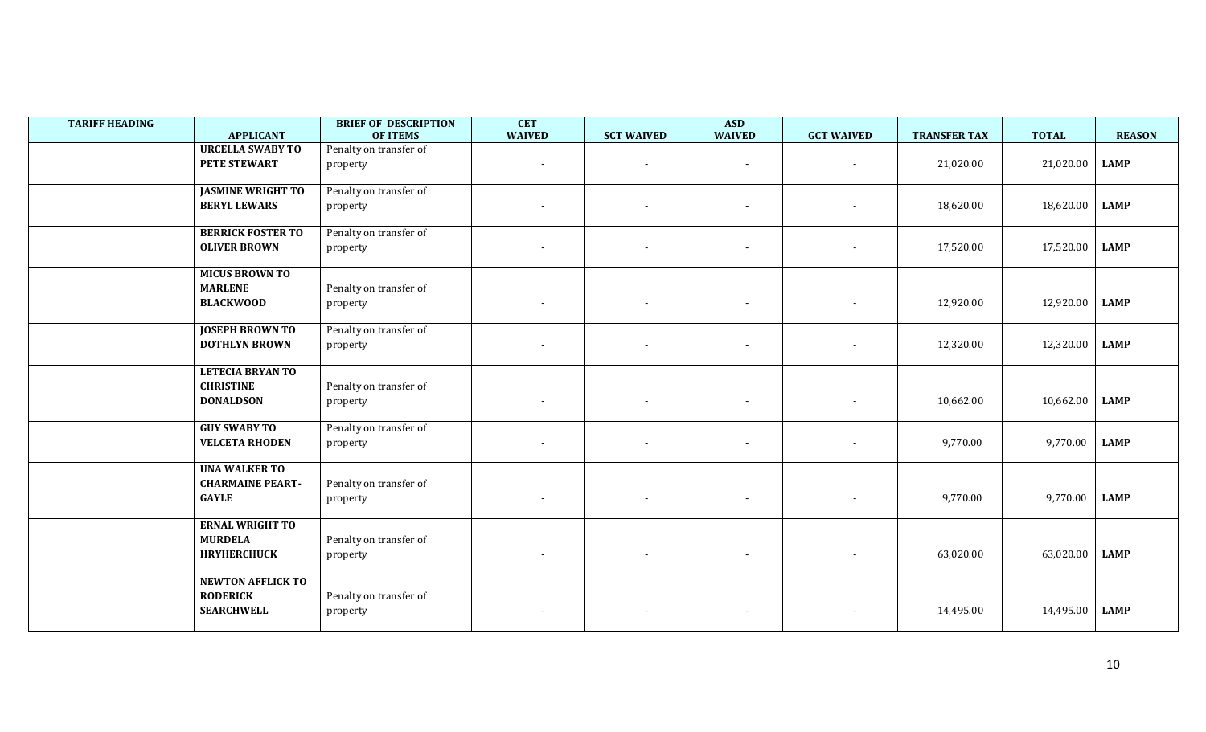| <b>TARIFF HEADING</b> | <b>APPLICANT</b>                                                 | <b>BRIEF OF DESCRIPTION</b><br><b>OF ITEMS</b> | <b>CET</b><br><b>WAIVED</b> | <b>SCT WAIVED</b>        | <b>ASD</b><br><b>WAIVED</b> | <b>GCT WAIVED</b>        | <b>TRANSFER TAX</b> | <b>TOTAL</b> | <b>REASON</b> |
|-----------------------|------------------------------------------------------------------|------------------------------------------------|-----------------------------|--------------------------|-----------------------------|--------------------------|---------------------|--------------|---------------|
|                       | <b>URCELLA SWABY TO</b><br>PETE STEWART                          | Penalty on transfer of<br>property             | $\overline{\phantom{a}}$    |                          |                             |                          | 21,020.00           | 21,020.00    | <b>LAMP</b>   |
|                       | <b>JASMINE WRIGHT TO</b><br><b>BERYL LEWARS</b>                  | Penalty on transfer of<br>property             |                             |                          |                             |                          | 18,620.00           | 18,620.00    | <b>LAMP</b>   |
|                       | <b>BERRICK FOSTER TO</b><br><b>OLIVER BROWN</b>                  | Penalty on transfer of<br>property             |                             |                          |                             |                          | 17,520.00           | 17,520.00    | <b>LAMP</b>   |
|                       | <b>MICUS BROWN TO</b><br><b>MARLENE</b><br><b>BLACKWOOD</b>      | Penalty on transfer of<br>property             |                             |                          | $\overline{\phantom{a}}$    |                          | 12,920.00           | 12,920.00    | <b>LAMP</b>   |
|                       | <b>JOSEPH BROWN TO</b><br><b>DOTHLYN BROWN</b>                   | Penalty on transfer of<br>property             |                             |                          | $\overline{\phantom{a}}$    |                          | 12,320.00           | 12,320.00    | <b>LAMP</b>   |
|                       | <b>LETECIA BRYAN TO</b><br><b>CHRISTINE</b><br><b>DONALDSON</b>  | Penalty on transfer of<br>property             | $\overline{\phantom{0}}$    | $\overline{\phantom{a}}$ | $\sim$                      | $\overline{\phantom{a}}$ | 10,662.00           | 10,662.00    | <b>LAMP</b>   |
|                       | <b>GUY SWABY TO</b><br><b>VELCETA RHODEN</b>                     | Penalty on transfer of<br>property             | $\overline{\phantom{a}}$    | $\overline{\phantom{a}}$ | $\overline{\phantom{a}}$    |                          | 9,770.00            | 9,770.00     | <b>LAMP</b>   |
|                       | <b>UNA WALKER TO</b><br><b>CHARMAINE PEART-</b><br><b>GAYLE</b>  | Penalty on transfer of<br>property             |                             |                          | $\overline{\phantom{a}}$    |                          | 9,770.00            | 9,770.00     | <b>LAMP</b>   |
|                       | <b>ERNAL WRIGHT TO</b><br><b>MURDELA</b><br><b>HRYHERCHUCK</b>   | Penalty on transfer of<br>property             | $\overline{\phantom{a}}$    | $\overline{\phantom{a}}$ | $\sim$                      | $\sim$                   | 63,020.00           | 63,020.00    | <b>LAMP</b>   |
|                       | <b>NEWTON AFFLICK TO</b><br><b>RODERICK</b><br><b>SEARCHWELL</b> | Penalty on transfer of<br>property             |                             |                          | $\sim$                      | $\overline{\phantom{a}}$ | 14,495.00           | 14,495.00    | <b>LAMP</b>   |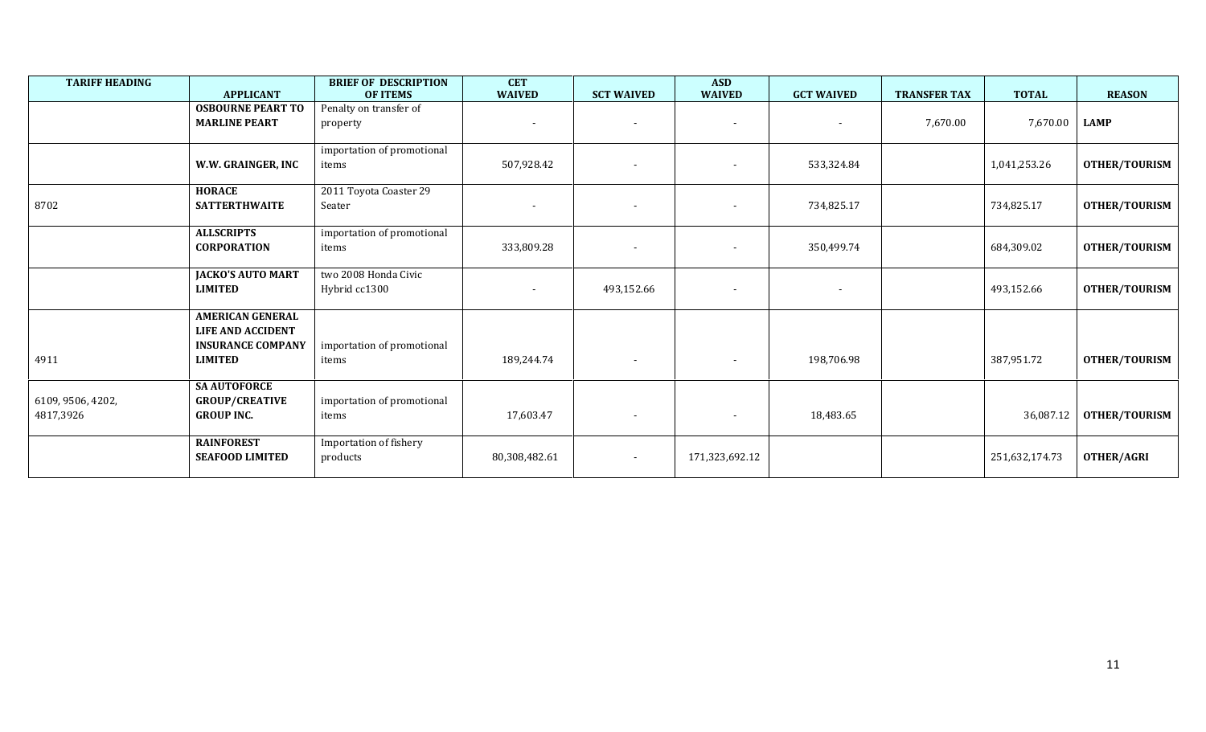| <b>TARIFF HEADING</b> |                          | <b>BRIEF OF DESCRIPTION</b> | <b>CET</b><br><b>WAIVED</b> |                          | <b>ASD</b>               |                   |                     |                | <b>REASON</b>        |
|-----------------------|--------------------------|-----------------------------|-----------------------------|--------------------------|--------------------------|-------------------|---------------------|----------------|----------------------|
|                       | <b>APPLICANT</b>         | <b>OF ITEMS</b>             |                             | <b>SCT WAIVED</b>        | <b>WAIVED</b>            | <b>GCT WAIVED</b> | <b>TRANSFER TAX</b> | <b>TOTAL</b>   |                      |
|                       | <b>OSBOURNE PEART TO</b> | Penalty on transfer of      |                             |                          |                          |                   |                     |                |                      |
|                       | <b>MARLINE PEART</b>     | property                    | $\overline{\phantom{a}}$    | $\overline{\phantom{a}}$ | $\overline{\phantom{a}}$ | $\sim$            | 7,670.00            | 7,670.00       | <b>LAMP</b>          |
|                       |                          | importation of promotional  |                             |                          |                          |                   |                     |                |                      |
|                       | W.W. GRAINGER, INC       | items                       | 507,928.42                  |                          |                          | 533,324.84        |                     | 1,041,253.26   | OTHER/TOURISM        |
|                       | <b>HORACE</b>            | 2011 Toyota Coaster 29      |                             |                          |                          |                   |                     |                |                      |
| 8702                  | <b>SATTERTHWAITE</b>     | Seater                      | $\blacksquare$              | $\overline{\phantom{a}}$ | $\blacksquare$           | 734,825.17        |                     | 734,825.17     | OTHER/TOURISM        |
|                       | <b>ALLSCRIPTS</b>        | importation of promotional  |                             |                          |                          |                   |                     |                |                      |
|                       | <b>CORPORATION</b>       | items                       | 333,809.28                  | $\overline{\phantom{a}}$ | $\overline{\phantom{a}}$ | 350,499.74        |                     | 684,309.02     | <b>OTHER/TOURISM</b> |
|                       | <b>JACKO'S AUTO MART</b> | two 2008 Honda Civic        |                             |                          |                          |                   |                     |                |                      |
|                       | <b>LIMITED</b>           | Hybrid cc1300               | $\blacksquare$              | 493,152.66               |                          | $\sim$            |                     | 493,152.66     | OTHER/TOURISM        |
|                       | <b>AMERICAN GENERAL</b>  |                             |                             |                          |                          |                   |                     |                |                      |
|                       | <b>LIFE AND ACCIDENT</b> |                             |                             |                          |                          |                   |                     |                |                      |
|                       | <b>INSURANCE COMPANY</b> | importation of promotional  |                             |                          |                          |                   |                     |                |                      |
| 4911                  | <b>LIMITED</b>           | items                       | 189,244.74                  | $\overline{\phantom{a}}$ | $\overline{\phantom{a}}$ | 198,706.98        |                     | 387,951.72     | <b>OTHER/TOURISM</b> |
|                       | <b>SA AUTOFORCE</b>      |                             |                             |                          |                          |                   |                     |                |                      |
| 6109, 9506, 4202,     | <b>GROUP/CREATIVE</b>    | importation of promotional  |                             |                          |                          |                   |                     |                |                      |
| 4817,3926             | <b>GROUP INC.</b>        | items                       | 17,603.47                   | $\overline{\phantom{a}}$ | $\blacksquare$           | 18,483.65         |                     | 36,087.12      | <b>OTHER/TOURISM</b> |
|                       | <b>RAINFOREST</b>        | Importation of fishery      |                             |                          |                          |                   |                     |                |                      |
|                       | <b>SEAFOOD LIMITED</b>   | products                    | 80,308,482.61               | $\overline{\phantom{a}}$ | 171,323,692.12           |                   |                     | 251,632,174.73 | OTHER/AGRI           |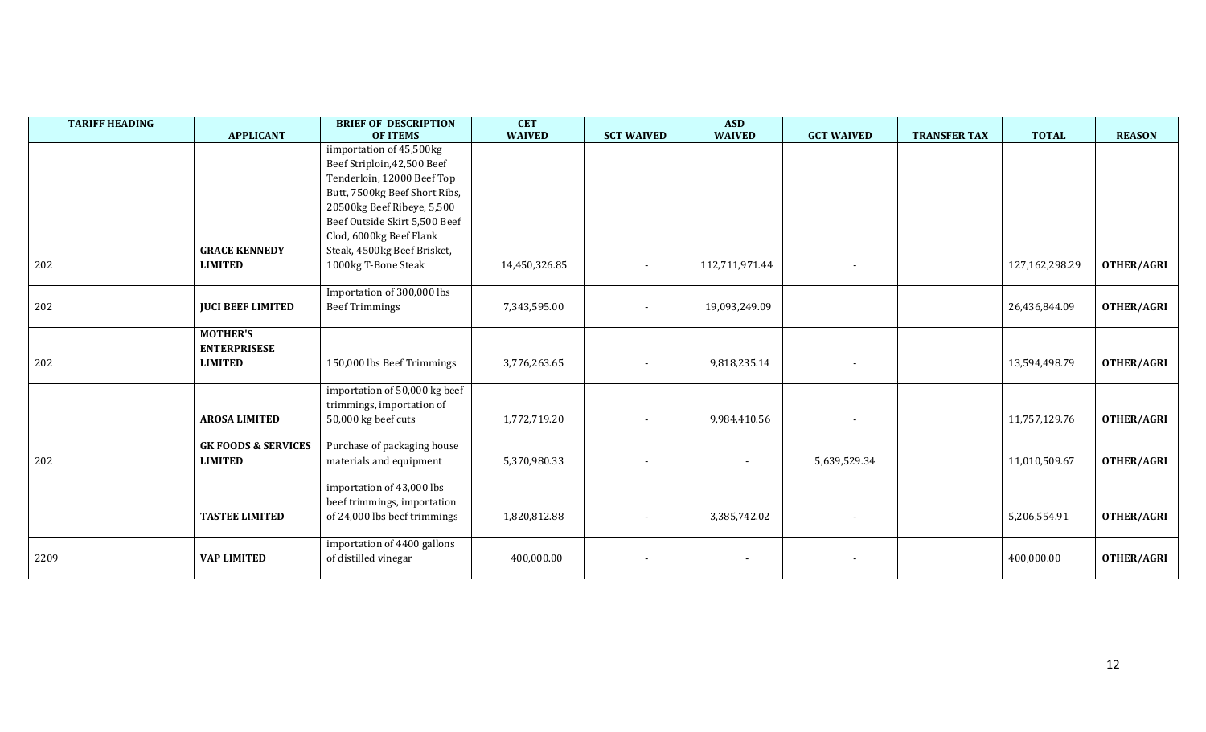| <b>TARIFF HEADING</b> | <b>APPLICANT</b>                                         | <b>BRIEF OF DESCRIPTION</b><br><b>OF ITEMS</b>                                                                                                                                                                    | <b>CET</b><br><b>WAIVED</b> | <b>SCT WAIVED</b>        | <b>ASD</b><br><b>WAIVED</b> | <b>GCT WAIVED</b>        | <b>TRANSFER TAX</b> | <b>TOTAL</b>   | <b>REASON</b>     |
|-----------------------|----------------------------------------------------------|-------------------------------------------------------------------------------------------------------------------------------------------------------------------------------------------------------------------|-----------------------------|--------------------------|-----------------------------|--------------------------|---------------------|----------------|-------------------|
|                       |                                                          | iimportation of 45,500kg<br>Beef Striploin, 42, 500 Beef<br>Tenderloin, 12000 Beef Top<br>Butt, 7500kg Beef Short Ribs,<br>20500kg Beef Ribeye, 5,500<br>Beef Outside Skirt 5,500 Beef<br>Clod, 6000kg Beef Flank |                             |                          |                             |                          |                     |                |                   |
| 202                   | <b>GRACE KENNEDY</b><br><b>LIMITED</b>                   | Steak, 4500kg Beef Brisket,<br>1000kg T-Bone Steak                                                                                                                                                                | 14,450,326.85               | $\overline{\phantom{a}}$ | 112,711,971.44              | $\sim$                   |                     | 127,162,298.29 | <b>OTHER/AGRI</b> |
| 202                   | <b>JUCI BEEF LIMITED</b>                                 | Importation of 300,000 lbs<br><b>Beef Trimmings</b>                                                                                                                                                               | 7,343,595.00                |                          | 19,093,249.09               |                          |                     | 26,436,844.09  | <b>OTHER/AGRI</b> |
| 202                   | <b>MOTHER'S</b><br><b>ENTERPRISESE</b><br><b>LIMITED</b> | 150,000 lbs Beef Trimmings                                                                                                                                                                                        | 3,776,263.65                |                          | 9,818,235.14                |                          |                     | 13,594,498.79  | <b>OTHER/AGRI</b> |
|                       | <b>AROSA LIMITED</b>                                     | importation of 50,000 kg beef<br>trimmings, importation of<br>50,000 kg beef cuts                                                                                                                                 | 1,772,719.20                |                          | 9,984,410.56                |                          |                     | 11,757,129.76  | <b>OTHER/AGRI</b> |
| 202                   | <b>GK FOODS &amp; SERVICES</b><br><b>LIMITED</b>         | Purchase of packaging house<br>materials and equipment                                                                                                                                                            | 5,370,980.33                |                          |                             | 5,639,529.34             |                     | 11,010,509.67  | <b>OTHER/AGRI</b> |
|                       | <b>TASTEE LIMITED</b>                                    | importation of 43,000 lbs<br>beef trimmings, importation<br>of 24,000 lbs beef trimmings                                                                                                                          | 1,820,812.88                |                          | 3,385,742.02                |                          |                     | 5,206,554.91   | OTHER/AGRI        |
| 2209                  | <b>VAP LIMITED</b>                                       | importation of 4400 gallons<br>of distilled vinegar                                                                                                                                                               | 400,000.00                  |                          |                             | $\overline{\phantom{a}}$ |                     | 400,000.00     | <b>OTHER/AGRI</b> |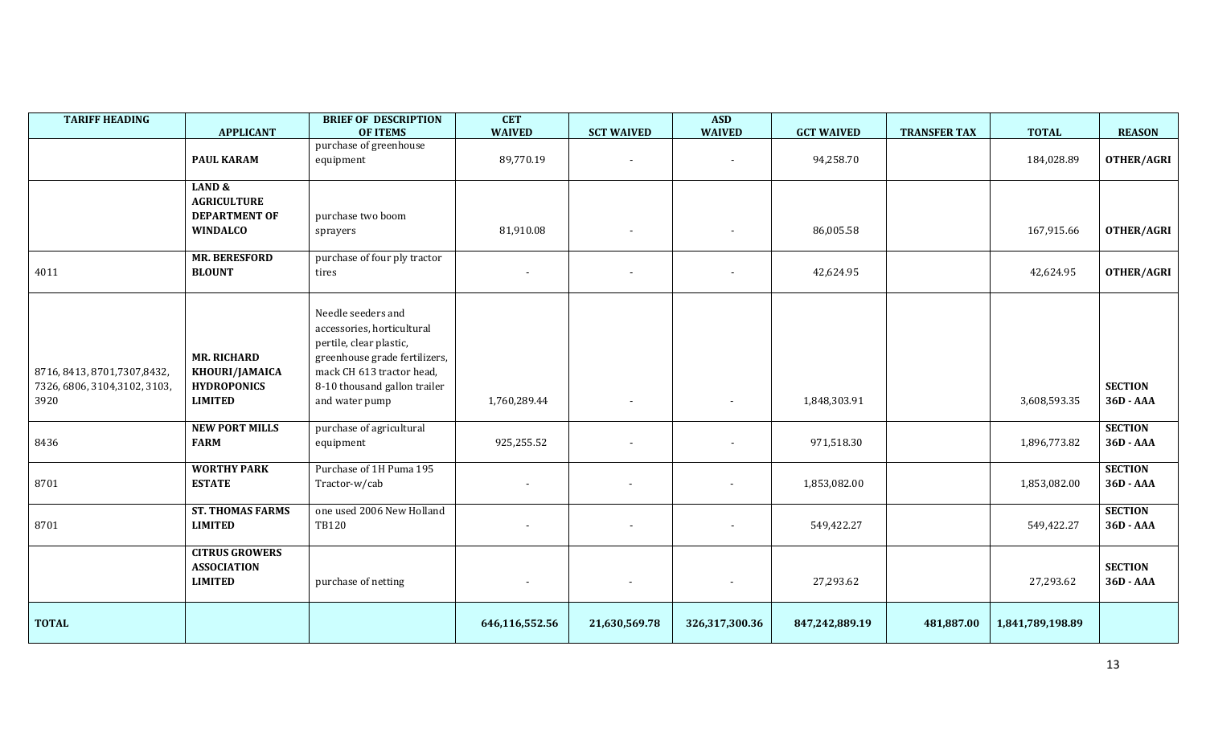| <b>TARIFF HEADING</b>                                                  | <b>APPLICANT</b>                                                             | <b>BRIEF OF DESCRIPTION</b><br><b>OF ITEMS</b>                                                                                                                                              | <b>CET</b><br><b>WAIVED</b> | <b>SCT WAIVED</b> | <b>ASD</b><br><b>WAIVED</b> | <b>GCT WAIVED</b> | <b>TRANSFER TAX</b> | <b>TOTAL</b>     | <b>REASON</b>               |
|------------------------------------------------------------------------|------------------------------------------------------------------------------|---------------------------------------------------------------------------------------------------------------------------------------------------------------------------------------------|-----------------------------|-------------------|-----------------------------|-------------------|---------------------|------------------|-----------------------------|
|                                                                        | <b>PAUL KARAM</b>                                                            | purchase of greenhouse<br>equipment                                                                                                                                                         | 89,770.19                   |                   |                             | 94,258.70         |                     | 184,028.89       | OTHER/AGRI                  |
|                                                                        | LAND &<br><b>AGRICULTURE</b><br><b>DEPARTMENT OF</b><br><b>WINDALCO</b>      | purchase two boom<br>sprayers                                                                                                                                                               | 81,910.08                   |                   | $\overline{\phantom{a}}$    | 86,005.58         |                     | 167,915.66       | OTHER/AGRI                  |
| 4011                                                                   | <b>MR. BERESFORD</b><br><b>BLOUNT</b>                                        | purchase of four ply tractor<br>tires                                                                                                                                                       |                             |                   |                             | 42,624.95         |                     | 42,624.95        | OTHER/AGRI                  |
| 8716, 8413, 8701, 7307, 8432,<br>7326, 6806, 3104, 3102, 3103,<br>3920 | <b>MR. RICHARD</b><br>KHOURI/JAMAICA<br><b>HYDROPONICS</b><br><b>LIMITED</b> | Needle seeders and<br>accessories, horticultural<br>pertile, clear plastic,<br>greenhouse grade fertilizers,<br>mack CH 613 tractor head,<br>8-10 thousand gallon trailer<br>and water pump | 1,760,289.44                |                   |                             | 1,848,303.91      |                     | 3,608,593.35     | <b>SECTION</b><br>36D - AAA |
| 8436                                                                   | <b>NEW PORT MILLS</b><br><b>FARM</b>                                         | purchase of agricultural<br>equipment                                                                                                                                                       | 925,255.52                  |                   |                             | 971,518.30        |                     | 1,896,773.82     | <b>SECTION</b><br>36D - AAA |
| 8701                                                                   | <b>WORTHY PARK</b><br><b>ESTATE</b>                                          | Purchase of 1H Puma 195<br>Tractor-w/cab                                                                                                                                                    |                             |                   | $\overline{\phantom{a}}$    | 1,853,082.00      |                     | 1,853,082.00     | <b>SECTION</b><br>36D - AAA |
| 8701                                                                   | <b>ST. THOMAS FARMS</b><br><b>LIMITED</b>                                    | one used 2006 New Holland<br><b>TB120</b>                                                                                                                                                   | $\overline{\phantom{a}}$    |                   |                             | 549,422.27        |                     | 549,422.27       | <b>SECTION</b><br>36D - AAA |
|                                                                        | <b>CITRUS GROWERS</b><br><b>ASSOCIATION</b><br><b>LIMITED</b>                | purchase of netting                                                                                                                                                                         |                             |                   |                             | 27,293.62         |                     | 27,293.62        | <b>SECTION</b><br>36D - AAA |
| <b>TOTAL</b>                                                           |                                                                              |                                                                                                                                                                                             | 646,116,552.56              | 21,630,569.78     | 326,317,300.36              | 847,242,889.19    | 481,887.00          | 1,841,789,198.89 |                             |